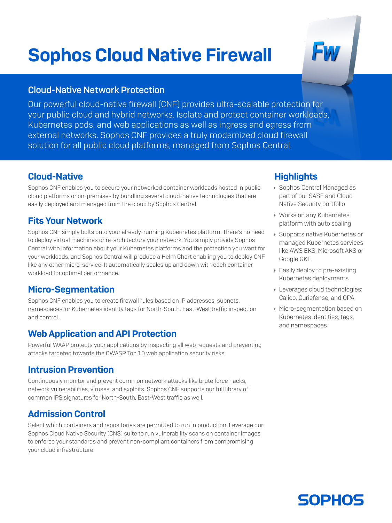# Sophos Cloud Native Firewall

#### Cloud-Native Network Protection

Our powerful cloud-native firewall (CNF) provides ultra-scalable protection for your public cloud and hybrid networks. Isolate and protect container workloads, Kubernetes pods, and web applications as well as ingress and egress from external networks. Sophos CNF provides a truly modernized cloud firewall solution for all public cloud platforms, managed from Sophos Central.

#### Cloud-Native

Sophos CNF enables you to secure your networked container workloads hosted in public cloud platforms or on-premises by bundling several cloud-native technologies that are easily deployed and managed from the cloud by Sophos Central.

#### Fits Your Network

Sophos CNF simply bolts onto your already-running Kubernetes platform. There's no need to deploy virtual machines or re-architecture your network. You simply provide Sophos Central with information about your Kubernetes platforms and the protection you want for your workloads, and Sophos Central will produce a Helm Chart enabling you to deploy CNF like any other micro-service. It automatically scales up and down with each container workload for optimal performance.

## Micro-Segmentation

Sophos CNF enables you to create firewall rules based on IP addresses, subnets, namespaces, or Kubernetes identity tags for North-South, East-West traffic inspection and control.

## Web Application and API Protection

Powerful WAAP protects your applications by inspecting all web requests and preventing attacks targeted towards the OWASP Top 10 web application security risks.

## Intrusion Prevention

Continuously monitor and prevent common network attacks like brute force hacks, network vulnerabilities, viruses, and exploits. Sophos CNF supports our full library of common IPS signatures for North-South, East-West traffic as well.

## Admission Control

Select which containers and repositories are permitted to run in production. Leverage our Sophos Cloud Native Security (CNS) suite to run vulnerability scans on container images to enforce your standards and prevent non-compliant containers from compromising your cloud infrastructure.

## **Highlights**

- **Sophos Central Managed as** part of our SASE and Cloud Native Security portfolio
- **Works on any Kubernetes** platform with auto scaling
- **Supports native Kubernetes or** managed Kubernetes services like AWS EKS, Microsoft AKS or Google GKE
- **Easily deploy to pre-existing** Kubernetes deployments
- **Leverages cloud technologies:** Calico, Curiefense, and OPA
- **Micro-segmentation based on** Kubernetes identities, tags, and namespaces